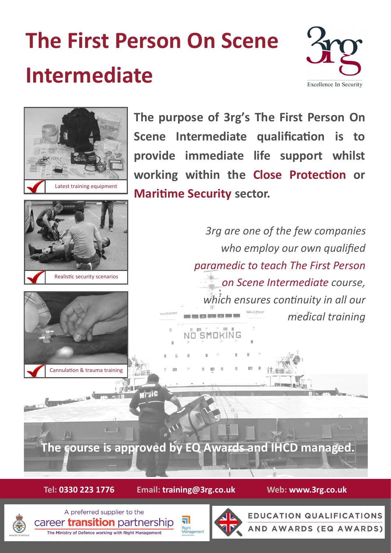# **The First Person On Scene Intermediate**





**Tel: 0330 223 1776 Email: training@3rg.co.uk Web: www.3rg.co.uk**

ה

Right<br>Management



A preferred supplier to the career **transition** partnership The Ministry of Defence working with Right Management



**EDUCATION QUALIFICATIONS AND AWARDS (EQ AWARDS)**